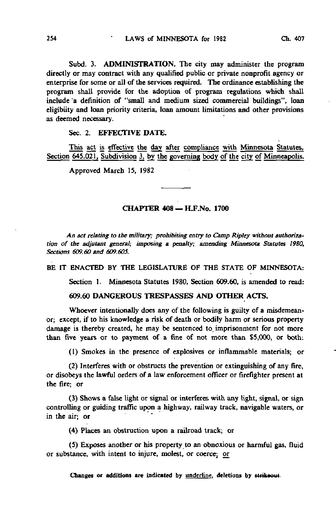Subd. 3. ADMINISTRATION. The city may administer the program directly or may contract with any qualified public or private nonprofit agency or enterprise for some or all of the services required. The ordinance establishing the program shall provide for the adoption of program regulations which shall include "a definition of "small and medium sized commercial buildings", loan eligibiity and loan priority criteria, loan amount limitations and other provisions as deemed necessary.

## Sec. 2. EFFECTIVE DATE.

This act is effective the day after compliance with Minnesota Statutes, Section 645.021, Subdivision 3, by the governing body of the city of Minneapolis.

Approved March 15, 1982

## CHAPTER 408 - H.F.No. 1700

An act relating to the military; prohibiting entry to Camp Ripley without authorization of the adjutant general; imposing a penalty; amending Minnesota Statutes 1980, Sections 609.60 and 6O9.605.

BE IT ENACTED BY THE LEGISLATURE OF THE STATE OF MINNESOTA:

Section 1. Minnesota Statutes 1980, Section 609.60, is amended to read:

609.60 DANGEROUS TRESPASSES AND OTHER ACTS.

Whoever intentionally does any of the following is guilty of a misdemeanor; except, if to his knowledge a risk of death or bodily harm or serious property damage is thereby created, he may be sentenced to, imprisonment for not more than five years or to payment of a fine of not more than \$5,000, or both:

(1) Smokes in the presence of explosives or inflammable materials; or

(2) Interferes with or obstructs the prevention or extinguishing of any fire, or disobeys the lawful orders of a law enforcement officer or firefighter present at the fire; or

(3) Shows a false light or signal or interferes with any light, signal, or sign controlling or guiding traffic upon a highway, railway track, navigable waters, or in the air; or

(4) Places an obstruction upon a railroad track; or

(5) Exposes another or his property to an obnoxious or harmful gas, fluid or substance, with intent to injure, molest, or coerce; or

Changes or additions are indicated by underline, deletions by strikeout.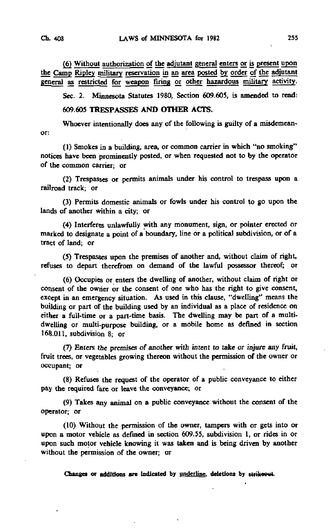(6) Without authorization of the adjutant general enters or is present upon the Camp Ripley military reservation in an area posted by order of the adjutant general as restricted for weapon firing or other hazardous military activity.

Sec. 2. Minnesota Statutes 1980, Section 609.605, is amended to read:

609.605 TRESPASSES AND OTHER ACTS.

Whoever intentionally does any of the following is guilty of a misdemeanor:

(1) Smokes in a building, area, or common carrier in which "no smoking" notices have been prominently posted, or when requested not to by the operator of the common carrier; or

(2) Trespasses or permits animals under his control to trespass upon a railroad track; or

(3) Permits domestic animals or fowls under his control to go upon the lands of another within a city; or

(4) Interferes unlawfully with any monument, sign, or pointer erected or marked to designate a point of a boundary, line or a political subdivision, or of a tract of land; or

(5) Trespasses upon the premises of another and, without claim of right, refuses to depart therefrom on demand of the lawful possessor thereof; or

(6) Occupies or enters the dwelling of another, without claim of right or consent of the owner or the consent of one who has the right to give consent, except in an emergency situation. As used in this clause, "dwelling" means the building or part of the building used by an individual as a place of residence on either a full-time or a part-time basis. The dwelling may be part of a multidwelling or multi-purpose building, or a mobile home as defined in section 168.011, subdivision 8; or

(7) Enters the premises of another with intent to take or injure any fruit, fruit trees, or vegetables growing thereon without the permission of the owner or occupant; or

(8) Refuses the request of the operator of a public conveyance to either pay the required fare or leave the conveyance; or

(9) Takes any animal on a public conveyance without the consent of the operator; or

(10) Without the permission of the owner, tampers with or gets into or upon a motor vehicle as defined in section 609.55, subdivision 1, or rides in or upon such motor vehicle knowing it was taken and is being driven by another without the permission of the owner; or

Changes or additions are indicated by underline, deletions by strikeout.